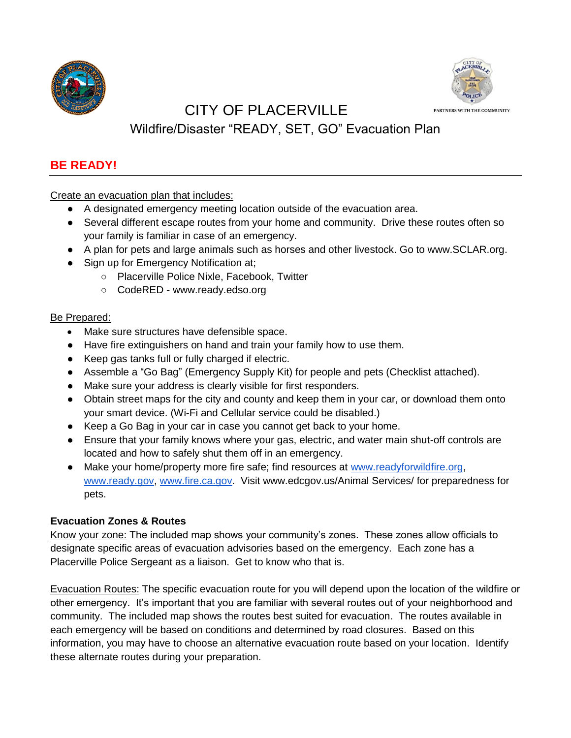



# CITY OF PLACERVILLE

# Wildfire/Disaster "READY, SET, GO" Evacuation Plan

## **BE READY!**

Create an evacuation plan that includes:

- A designated emergency meeting location outside of the evacuation area.
- Several different escape routes from your home and community. Drive these routes often so your family is familiar in case of an emergency.
- A plan for pets and large animals such as horses and other livestock. Go to www.SCLAR.org.
- Sign up for Emergency Notification at;
	- Placerville Police Nixle, Facebook, Twitter
	- CodeRED www.ready.edso.org

## Be Prepared:

- Make sure structures have defensible space.
- Have fire extinguishers on hand and train your family how to use them.
- Keep gas tanks full or fully charged if electric.
- Assemble a "Go Bag" (Emergency Supply Kit) for people and pets (Checklist attached).
- Make sure your address is clearly visible for first responders.
- Obtain street maps for the city and county and keep them in your car, or download them onto your smart device. (Wi-Fi and Cellular service could be disabled.)
- Keep a Go Bag in your car in case you cannot get back to your home.
- Ensure that your family knows where your gas, electric, and water main shut-off controls are located and how to safely shut them off in an emergency.
- Make your home/property more fire safe; find resources at www.readyforwildfire.org, www.ready.gov, www.fire.ca.gov. Visit www.edcgov.us/Animal Services/ for preparedness for pets.

## **Evacuation Zones & Routes**

Know your zone: The included map shows your community's zones. These zones allow officials to designate specific areas of evacuation advisories based on the emergency. Each zone has a Placerville Police Sergeant as a liaison. Get to know who that is.

Evacuation Routes: The specific evacuation route for you will depend upon the location of the wildfire or other emergency. It's important that you are familiar with several routes out of your neighborhood and community. The included map shows the routes best suited for evacuation. The routes available in each emergency will be based on conditions and determined by road closures. Based on this information, you may have to choose an alternative evacuation route based on your location. Identify these alternate routes during your preparation.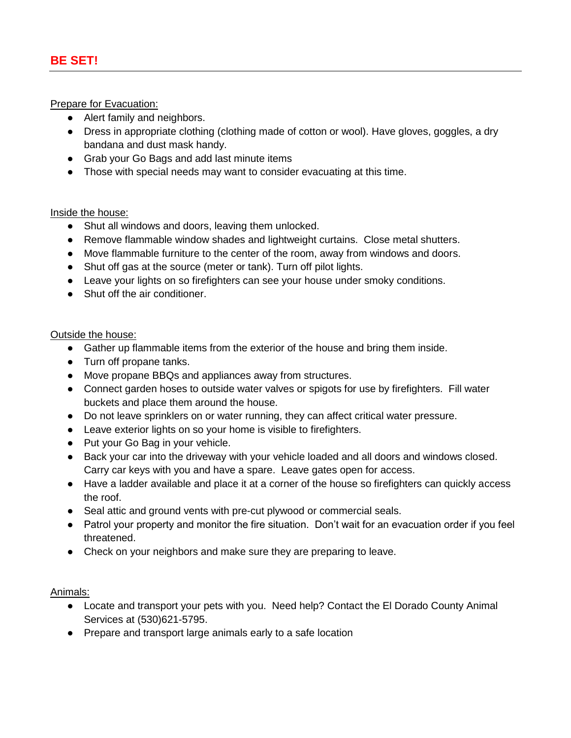Prepare for Evacuation:

- Alert family and neighbors.
- Dress in appropriate clothing (clothing made of cotton or wool). Have gloves, goggles, a dry bandana and dust mask handy.
- Grab your Go Bags and add last minute items
- Those with special needs may want to consider evacuating at this time.

#### Inside the house:

- Shut all windows and doors, leaving them unlocked.
- Remove flammable window shades and lightweight curtains. Close metal shutters.
- Move flammable furniture to the center of the room, away from windows and doors.
- Shut off gas at the source (meter or tank). Turn off pilot lights.
- Leave your lights on so firefighters can see your house under smoky conditions.
- Shut off the air conditioner.

#### Outside the house:

- Gather up flammable items from the exterior of the house and bring them inside.
- Turn off propane tanks.
- Move propane BBQs and appliances away from structures.
- Connect garden hoses to outside water valves or spigots for use by firefighters. Fill water buckets and place them around the house.
- Do not leave sprinklers on or water running, they can affect critical water pressure.
- Leave exterior lights on so your home is visible to firefighters.
- Put your Go Bag in your vehicle.
- Back your car into the driveway with your vehicle loaded and all doors and windows closed. Carry car keys with you and have a spare. Leave gates open for access.
- Have a ladder available and place it at a corner of the house so firefighters can quickly access the roof.
- Seal attic and ground vents with pre-cut plywood or commercial seals.
- Patrol your property and monitor the fire situation. Don't wait for an evacuation order if you feel threatened.
- Check on your neighbors and make sure they are preparing to leave.

## Animals:

- Locate and transport your pets with you. Need help? Contact the El Dorado County Animal Services at (530)621-5795.
- Prepare and transport large animals early to a safe location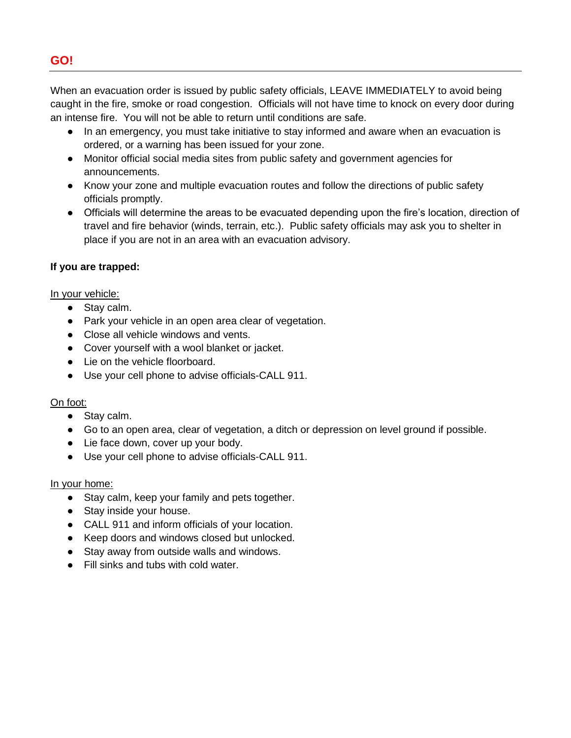## **GO!**

When an evacuation order is issued by public safety officials, LEAVE IMMEDIATELY to avoid being caught in the fire, smoke or road congestion. Officials will not have time to knock on every door during an intense fire. You will not be able to return until conditions are safe.

- In an emergency, you must take initiative to stay informed and aware when an evacuation is ordered, or a warning has been issued for your zone.
- Monitor official social media sites from public safety and government agencies for announcements.
- Know your zone and multiple evacuation routes and follow the directions of public safety officials promptly.
- Officials will determine the areas to be evacuated depending upon the fire's location, direction of travel and fire behavior (winds, terrain, etc.). Public safety officials may ask you to shelter in place if you are not in an area with an evacuation advisory.

## **If you are trapped:**

## In your vehicle:

- Stay calm.
- Park your vehicle in an open area clear of vegetation.
- Close all vehicle windows and vents.
- Cover yourself with a wool blanket or jacket.
- Lie on the vehicle floorboard.
- Use your cell phone to advise officials-CALL 911.

## On foot:

- Stay calm.
- Go to an open area, clear of vegetation, a ditch or depression on level ground if possible.
- Lie face down, cover up your body.
- Use your cell phone to advise officials-CALL 911.

## In your home:

- Stay calm, keep your family and pets together.
- Stay inside your house.
- CALL 911 and inform officials of your location.
- Keep doors and windows closed but unlocked.
- Stay away from outside walls and windows.
- Fill sinks and tubs with cold water.